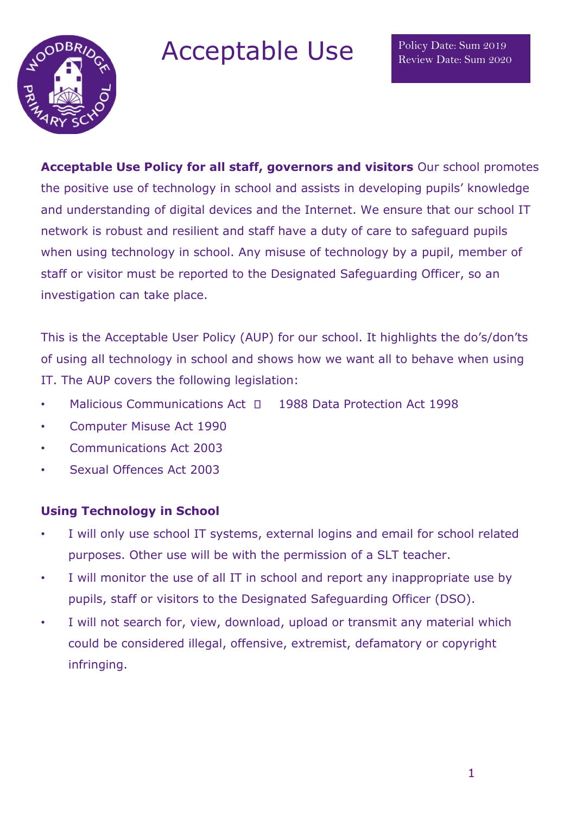

Acceptable Use

**Acceptable Use Policy for all staff, governors and visitors** Our school promotes the positive use of technology in school and assists in developing pupils' knowledge and understanding of digital devices and the Internet. We ensure that our school IT network is robust and resilient and staff have a duty of care to safeguard pupils when using technology in school. Any misuse of technology by a pupil, member of staff or visitor must be reported to the Designated Safeguarding Officer, so an investigation can take place.

This is the Acceptable User Policy (AUP) for our school. It highlights the do's/don'ts of using all technology in school and shows how we want all to behave when using IT. The AUP covers the following legislation:

- Malicious Communications Act  $\Box$  1988 Data Protection Act 1998
- Computer Misuse Act 1990
- Communications Act 2003
- Sexual Offences Act 2003

# **Using Technology in School**

- I will only use school IT systems, external logins and email for school related purposes. Other use will be with the permission of a SLT teacher.
- I will monitor the use of all IT in school and report any inappropriate use by pupils, staff or visitors to the Designated Safeguarding Officer (DSO).
- I will not search for, view, download, upload or transmit any material which could be considered illegal, offensive, extremist, defamatory or copyright infringing.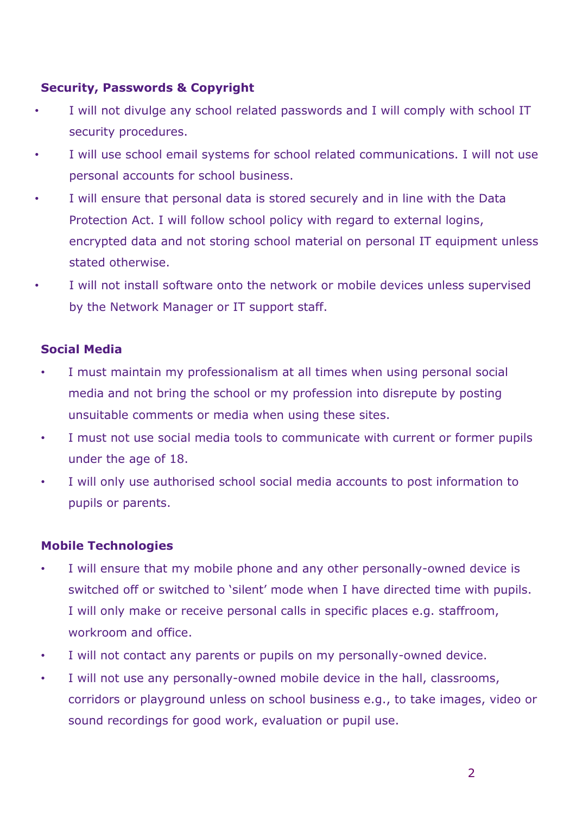## **Security, Passwords & Copyright**

- I will not divulge any school related passwords and I will comply with school IT security procedures.
- I will use school email systems for school related communications. I will not use personal accounts for school business.
- I will ensure that personal data is stored securely and in line with the Data Protection Act. I will follow school policy with regard to external logins, encrypted data and not storing school material on personal IT equipment unless stated otherwise.
- I will not install software onto the network or mobile devices unless supervised by the Network Manager or IT support staff.

### **Social Media**

- I must maintain my professionalism at all times when using personal social media and not bring the school or my profession into disrepute by posting unsuitable comments or media when using these sites.
- I must not use social media tools to communicate with current or former pupils under the age of 18.
- I will only use authorised school social media accounts to post information to pupils or parents.

### **Mobile Technologies**

- I will ensure that my mobile phone and any other personally-owned device is switched off or switched to 'silent' mode when I have directed time with pupils. I will only make or receive personal calls in specific places e.g. staffroom, workroom and office.
- I will not contact any parents or pupils on my personally-owned device.
- I will not use any personally-owned mobile device in the hall, classrooms, corridors or playground unless on school business e.g., to take images, video or sound recordings for good work, evaluation or pupil use.